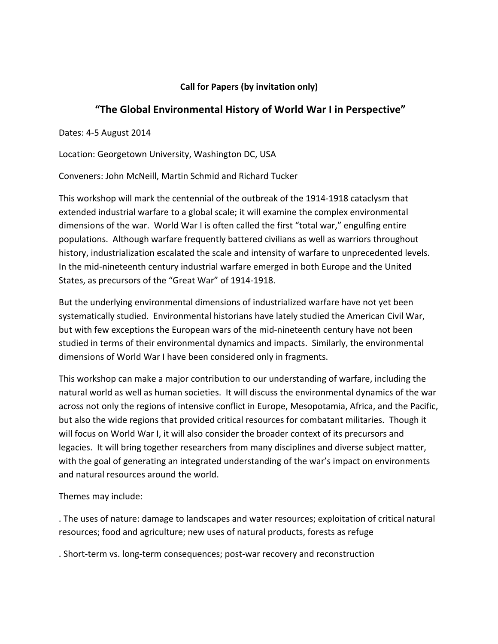## **Call for Papers (by invitation only)**

## "The Global Environmental History of World War I in Perspective"

Dates: 4-5 August 2014

Location: Georgetown University, Washington DC, USA

Conveners: John McNeill, Martin Schmid and Richard Tucker

This workshop will mark the centennial of the outbreak of the 1914-1918 cataclysm that extended industrial warfare to a global scale; it will examine the complex environmental dimensions of the war. World War I is often called the first "total war," engulfing entire populations. Although warfare frequently battered civilians as well as warriors throughout history, industrialization escalated the scale and intensity of warfare to unprecedented levels. In the mid-nineteenth century industrial warfare emerged in both Europe and the United States, as precursors of the "Great War" of 1914-1918.

But the underlying environmental dimensions of industrialized warfare have not yet been systematically studied. Environmental historians have lately studied the American Civil War, but with few exceptions the European wars of the mid-nineteenth century have not been studied in terms of their environmental dynamics and impacts. Similarly, the environmental dimensions of World War I have been considered only in fragments.

This workshop can make a major contribution to our understanding of warfare, including the natural world as well as human societies. It will discuss the environmental dynamics of the war across not only the regions of intensive conflict in Europe, Mesopotamia, Africa, and the Pacific, but also the wide regions that provided critical resources for combatant militaries. Though it will focus on World War I, it will also consider the broader context of its precursors and legacies. It will bring together researchers from many disciplines and diverse subject matter, with the goal of generating an integrated understanding of the war's impact on environments and natural resources around the world.

Themes may include:

. The uses of nature: damage to landscapes and water resources; exploitation of critical natural resources; food and agriculture; new uses of natural products, forests as refuge

. Short-term vs. long-term consequences; post-war recovery and reconstruction